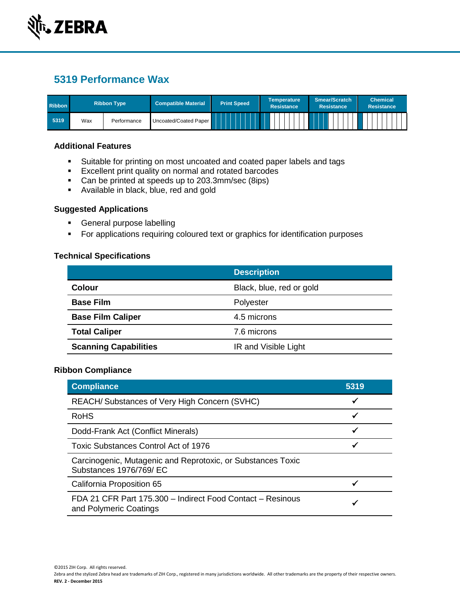

# **5319 Performance Wax**

| <b>Ribbon</b> |     | <b>Ribbon Type</b> | <b>Compatible Material</b> | <b>Print Speed</b> | <b>Temperature</b><br>Resistance | <b>Smear/Scratch</b><br><b>Resistance</b> | <b>Chemical</b><br><b>Resistance</b> |
|---------------|-----|--------------------|----------------------------|--------------------|----------------------------------|-------------------------------------------|--------------------------------------|
| 5319          | Wax | Performance        | Uncoated/Coated Paper      |                    |                                  |                                           |                                      |

#### **Additional Features**

- Suitable for printing on most uncoated and coated paper labels and tags
- **Excellent print quality on normal and rotated barcodes**
- Can be printed at speeds up to 203.3mm/sec (8ips)
- **Available in black, blue, red and gold**

### **Suggested Applications**

- **General purpose labelling**
- **For applications requiring coloured text or graphics for identification purposes**

## **Technical Specifications**

|                              | <b>Description</b>       |  |
|------------------------------|--------------------------|--|
| <b>Colour</b>                | Black, blue, red or gold |  |
| <b>Base Film</b>             | Polyester                |  |
| <b>Base Film Caliper</b>     | 4.5 microns              |  |
| <b>Total Caliper</b>         | 7.6 microns              |  |
| <b>Scanning Capabilities</b> | IR and Visible Light     |  |

## **Ribbon Compliance**

| <b>Compliance</b>                                                                      | 5319 |  |
|----------------------------------------------------------------------------------------|------|--|
| REACH/ Substances of Very High Concern (SVHC)                                          | √    |  |
| <b>RoHS</b>                                                                            | ✔    |  |
| Dodd-Frank Act (Conflict Minerals)                                                     | ✓    |  |
| <b>Toxic Substances Control Act of 1976</b>                                            | ✔    |  |
| Carcinogenic, Mutagenic and Reprotoxic, or Substances Toxic<br>Substances 1976/769/ EC |      |  |
| California Proposition 65                                                              |      |  |
| FDA 21 CFR Part 175.300 - Indirect Food Contact - Resinous<br>and Polymeric Coatings   |      |  |